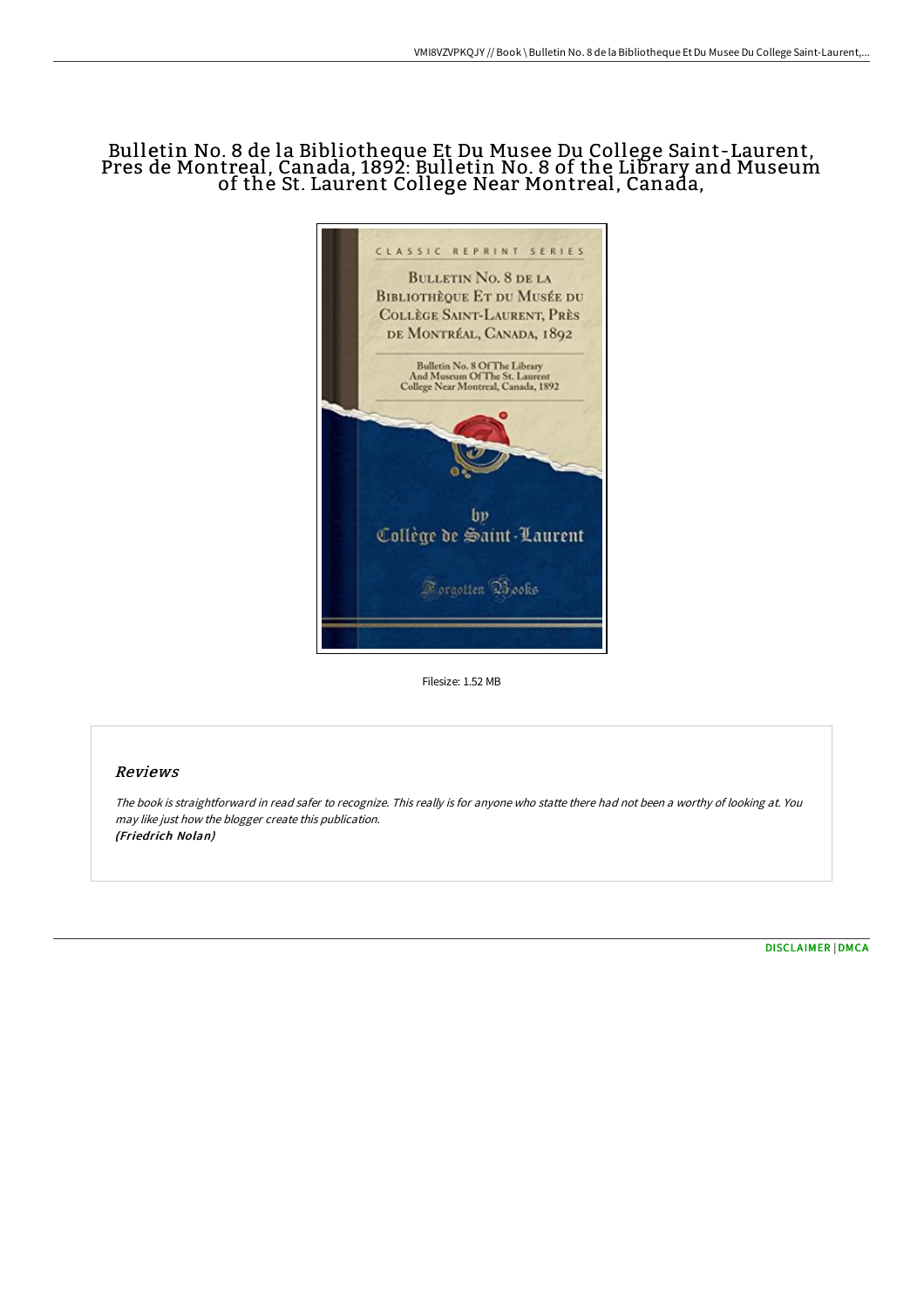# Bulletin No. 8 de la Bibliotheque Et Du Musee Du College Saint-Laurent, Pres de Montreal, Canada, 1892: Bulletin No. 8 of the Library and Museum of the St. Laurent College Near Montreal, Canada,



Filesize: 1.52 MB

## Reviews

The book is straightforward in read safer to recognize. This really is for anyone who statte there had not been <sup>a</sup> worthy of looking at. You may like just how the blogger create this publication. (Friedrich Nolan)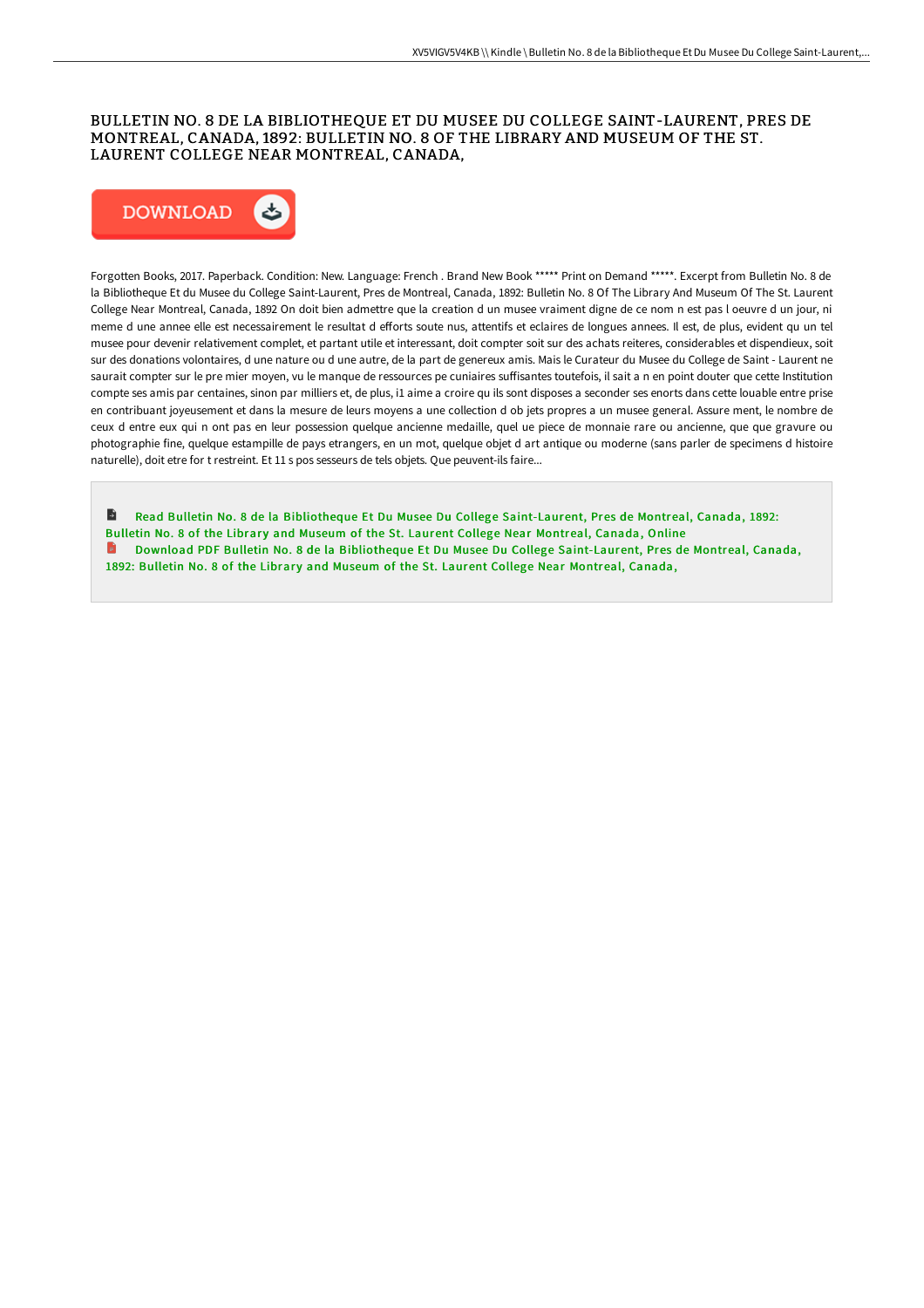## BULLETIN NO. 8 DE LA BIBLIOTHEQUE ET DU MUSEE DU COLLEGE SAINT-LAURENT, PRES DE MONTREAL, CANADA, 1892: BULLETIN NO. 8 OF THE LIBRARY AND MUSEUM OF THE ST. LAURENT COLLEGE NEAR MONTREAL, CANADA,



Forgotten Books, 2017. Paperback. Condition: New. Language: French . Brand New Book \*\*\*\*\* Print on Demand \*\*\*\*\*. Excerpt from Bulletin No. 8 de la Bibliotheque Et du Musee du College Saint-Laurent, Pres de Montreal, Canada, 1892: Bulletin No. 8 Of The Library And Museum Of The St. Laurent College Near Montreal, Canada, 1892 On doit bien admettre que la creation d un musee vraiment digne de ce nom n est pas l oeuvre d un jour, ni meme d une annee elle est necessairement le resultat d efforts soute nus, attentifs et eclaires de longues annees. Il est, de plus, evident qu un tel musee pour devenir relativement complet, et partant utile et interessant, doit compter soit sur des achats reiteres, considerables et dispendieux, soit sur des donations volontaires, d une nature ou d une autre, de la part de genereux amis. Mais le Curateur du Musee du College de Saint - Laurent ne saurait compter sur le pre mier moyen, vu le manque de ressources pe cuniaires suffisantes toutefois, il sait a n en point douter que cette Institution compte ses amis par centaines, sinon par milliers et, de plus, i1 aime a croire qu ils sont disposes a seconder ses enorts dans cette louable entre prise en contribuant joyeusement et dans la mesure de leurs moyens a une collection d ob jets propres a un musee general. Assure ment, le nombre de ceux d entre eux qui n ont pas en leur possession quelque ancienne medaille, quel ue piece de monnaie rare ou ancienne, que que gravure ou photographie fine, quelque estampille de pays etrangers, en un mot, quelque objet d art antique ou moderne (sans parler de specimens d histoire naturelle), doit etre for t restreint. Et 11 s pos sesseurs de tels objets. Que peuvent-ils faire...

B Read Bulletin No. 8 de la Bibliotheque Et Du Musee Du College [Saint-Laurent,](http://albedo.media/bulletin-no-8-de-la-bibliotheque-et-du-musee-du-.html) Pres de Montreal, Canada, 1892: Bulletin No. 8 of the Library and Museum of the St. Laurent College Near Montreal, Canada, Online Download PDF Bulletin No. 8 de la Bibliotheque Et Du Musee Du College [Saint-Laurent,](http://albedo.media/bulletin-no-8-de-la-bibliotheque-et-du-musee-du-.html) Pres de Montreal, Canada, 1892: Bulletin No. 8 of the Library and Museum of the St. Laurent College Near Montreal, Canada,